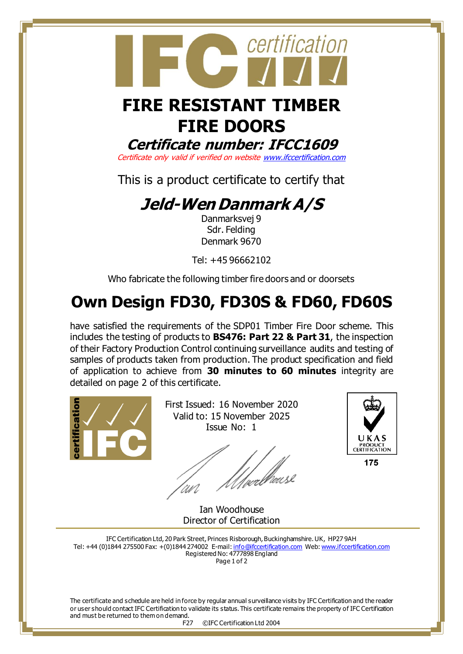

certification

### **Certificate number: IFCC1609**

Certificate only valid if verified on websit[e www.ifccertification.com](http://www.ifccertification.com/)

This is a product certificate to certify that

## **Jeld-Wen Danmark A/S**

Danmarksvej 9 Sdr. Felding Denmark 9670

Tel: +45 96662102

Who fabricate the following timber fire doors and or doorsets

# **Own Design FD30, FD30S & FD60, FD60S**

have satisfied the requirements of the SDP01 Timber Fire Door scheme. This includes the testing of products to **BS476: Part 22 & Part 31**, the inspection of their Factory Production Control continuing surveillance audits and testing of samples of products taken from production. The product specification and field of application to achieve from **30 minutes to 60 minutes** integrity are detailed on page 2 of this certificate.



First Issued: 16 November 2020 Valid to: 15 November 2025 Issue No: 1

'<br>/wellheus2 UN



175

Ian Woodhouse Director of Certification

IFC Certification Ltd, 20 Park Street, Princes Risborough, Buckinghamshire. UK, HP27 9AH Tel: +44 (0)1844 275500 Fax: +(0)1844 274002 E-mail[: info@ifccertification.com](mailto:info@ifccertification.com) Web[: www.ifccertification.com](http://www.ifccertification.com/) Registered No: 4777898 England Page 1 of 2

The certificate and schedule are held in force by regular annual surveillance visits by IFC Certification and the reader or user should contact IFC Certification to validate its status. This certificate remains the property of IFC Certification and must be returned to them on demand.

F27 ©IFC Certification Ltd 2004